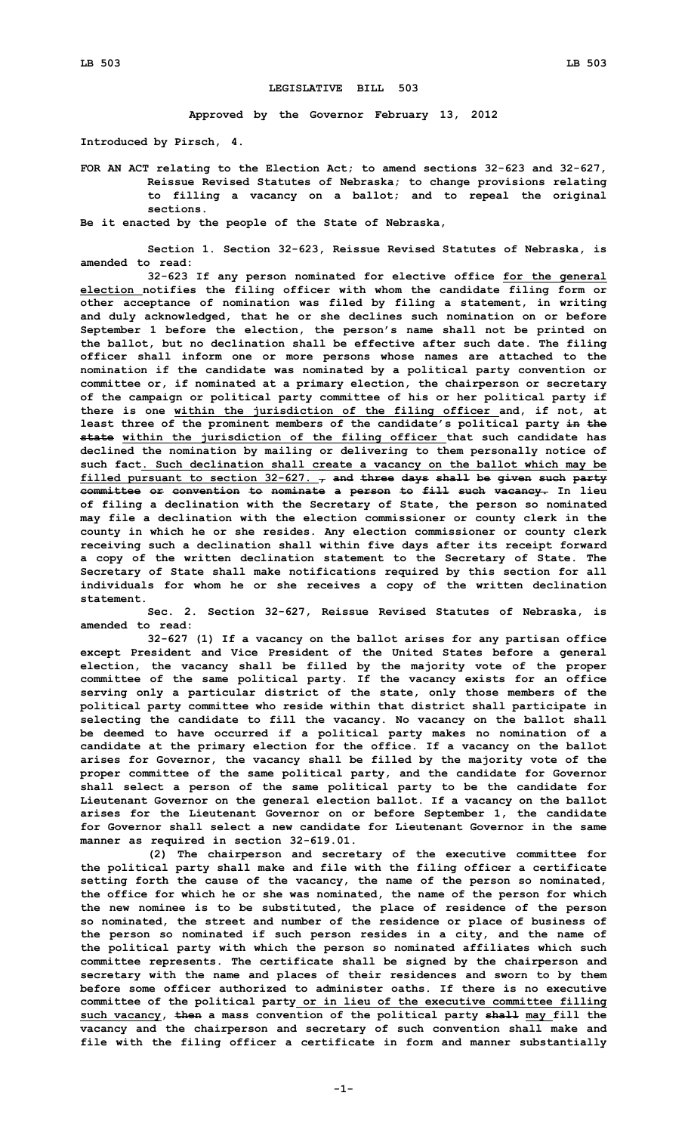## **LEGISLATIVE BILL 503**

**Approved by the Governor February 13, 2012**

**Introduced by Pirsch, 4.**

**FOR AN ACT relating to the Election Act; to amend sections 32-623 and 32-627, Reissue Revised Statutes of Nebraska; to change provisions relating to filling <sup>a</sup> vacancy on <sup>a</sup> ballot; and to repeal the original sections.**

**Be it enacted by the people of the State of Nebraska,**

**Section 1. Section 32-623, Reissue Revised Statutes of Nebraska, is amended to read:**

**32-623 If any person nominated for elective office for the general election notifies the filing officer with whom the candidate filing form or other acceptance of nomination was filed by filing <sup>a</sup> statement, in writing and duly acknowledged, that he or she declines such nomination on or before September 1 before the election, the person's name shall not be printed on the ballot, but no declination shall be effective after such date. The filing officer shall inform one or more persons whose names are attached to the nomination if the candidate was nominated by <sup>a</sup> political party convention or committee or, if nominated at <sup>a</sup> primary election, the chairperson or secretary of the campaign or political party committee of his or her political party if there is one within the jurisdiction of the filing officer and, if not, at least three of the prominent members of the candidate's political party in the state within the jurisdiction of the filing officer that such candidate has declined the nomination by mailing or delivering to them personally notice of such fact. Such declination shall create <sup>a</sup> vacancy on the ballot which may be filled pursuant to section 32-627. , and three days shall be given such party committee or convention to nominate <sup>a</sup> person to fill such vacancy. In lieu of filing <sup>a</sup> declination with the Secretary of State, the person so nominated may file <sup>a</sup> declination with the election commissioner or county clerk in the county in which he or she resides. Any election commissioner or county clerk receiving such <sup>a</sup> declination shall within five days after its receipt forward <sup>a</sup> copy of the written declination statement to the Secretary of State. The Secretary of State shall make notifications required by this section for all individuals for whom he or she receives <sup>a</sup> copy of the written declination statement.**

**Sec. 2. Section 32-627, Reissue Revised Statutes of Nebraska, is amended to read:**

**32-627 (1) If <sup>a</sup> vacancy on the ballot arises for any partisan office except President and Vice President of the United States before <sup>a</sup> general election, the vacancy shall be filled by the majority vote of the proper committee of the same political party. If the vacancy exists for an office serving only <sup>a</sup> particular district of the state, only those members of the political party committee who reside within that district shall participate in selecting the candidate to fill the vacancy. No vacancy on the ballot shall be deemed to have occurred if <sup>a</sup> political party makes no nomination of <sup>a</sup> candidate at the primary election for the office. If <sup>a</sup> vacancy on the ballot arises for Governor, the vacancy shall be filled by the majority vote of the proper committee of the same political party, and the candidate for Governor shall select <sup>a</sup> person of the same political party to be the candidate for Lieutenant Governor on the general election ballot. If <sup>a</sup> vacancy on the ballot arises for the Lieutenant Governor on or before September 1, the candidate for Governor shall select a new candidate for Lieutenant Governor in the same manner as required in section 32-619.01.**

**(2) The chairperson and secretary of the executive committee for the political party shall make and file with the filing officer <sup>a</sup> certificate setting forth the cause of the vacancy, the name of the person so nominated, the office for which he or she was nominated, the name of the person for which the new nominee is to be substituted, the place of residence of the person so nominated, the street and number of the residence or place of business of the person so nominated if such person resides in <sup>a</sup> city, and the name of the political party with which the person so nominated affiliates which such committee represents. The certificate shall be signed by the chairperson and secretary with the name and places of their residences and sworn to by them before some officer authorized to administer oaths. If there is no executive committee of the political party or in lieu of the executive committee filling such vacancy, then <sup>a</sup> mass convention of the political party shall may fill the vacancy and the chairperson and secretary of such convention shall make and file with the filing officer <sup>a</sup> certificate in form and manner substantially**